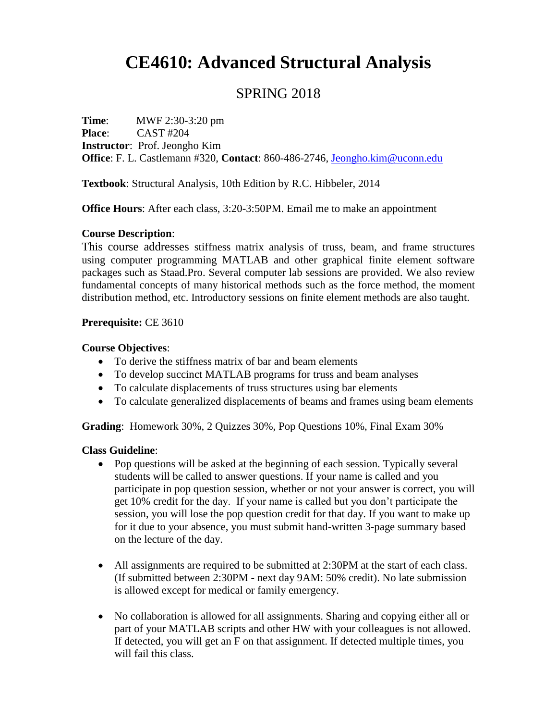# **CE4610: Advanced Structural Analysis**

## SPRING 2018

**Time:** MWF 2:30-3:20 pm **Place**: CAST #204 **Instructor**: Prof. Jeongho Kim **Office**: F. L. Castlemann #320, **Contact**: 860-486-2746, [Jeongho.kim@uconn.edu](mailto:Jeongho.kim@uconn.edu)

**Textbook**: Structural Analysis, 10th Edition by R.C. Hibbeler, 2014

**Office Hours**: After each class, 3:20-3:50PM. Email me to make an appointment

#### **Course Description**:

This course addresses stiffness matrix analysis of truss, beam, and frame structures using computer programming MATLAB and other graphical finite element software packages such as Staad.Pro. Several computer lab sessions are provided. We also review fundamental concepts of many historical methods such as the force method, the moment distribution method, etc. Introductory sessions on finite element methods are also taught.

#### **Prerequisite:** CE 3610

#### **Course Objectives**:

- To derive the stiffness matrix of bar and beam elements
- To develop succinct MATLAB programs for truss and beam analyses
- To calculate displacements of truss structures using bar elements
- To calculate generalized displacements of beams and frames using beam elements

**Grading**: Homework 30%, 2 Quizzes 30%, Pop Questions 10%, Final Exam 30%

#### **Class Guideline**:

- Pop questions will be asked at the beginning of each session. Typically several students will be called to answer questions. If your name is called and you participate in pop question session, whether or not your answer is correct, you will get 10% credit for the day. If your name is called but you don't participate the session, you will lose the pop question credit for that day. If you want to make up for it due to your absence, you must submit hand-written 3-page summary based on the lecture of the day.
- All assignments are required to be submitted at 2:30PM at the start of each class. (If submitted between 2:30PM - next day 9AM: 50% credit). No late submission is allowed except for medical or family emergency.
- No collaboration is allowed for all assignments. Sharing and copying either all or part of your MATLAB scripts and other HW with your colleagues is not allowed. If detected, you will get an F on that assignment. If detected multiple times, you will fail this class.